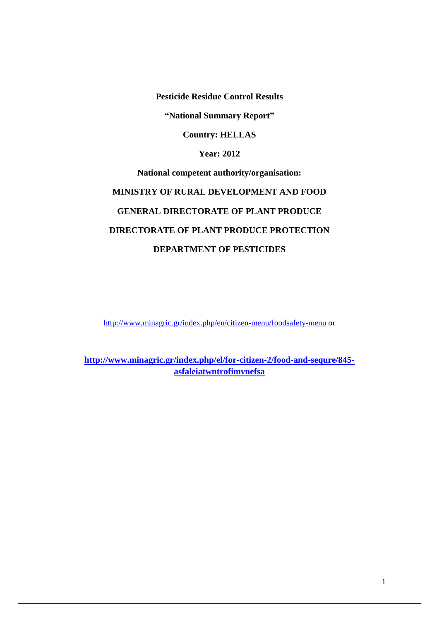**Pesticide Residue Control Results "National Summary Report" Country: HELLAS Year: 2012 National competent authority/organisation: MINISTRY OF RURAL DEVELOPMENT AND FOOD GENERAL DIRECTORATE OF PLANT PRODUCE DIRECTORATE OF PLANT PRODUCE PROTECTION**

#### **DEPARTMENT OF PESTICIDES**

<http://www.minagric.gr/index.php/en/citizen-menu/foodsafety-menu> or

**[http://www.minagric.gr/index.php/el/for-citizen-2/food-and-sequre/845](http://www.minagric.gr/index.php/el/for-citizen-2/food-and-sequre/845-asfaleiatwntrofimvnefsa) [asfaleiatwntrofimvnefsa](http://www.minagric.gr/index.php/el/for-citizen-2/food-and-sequre/845-asfaleiatwntrofimvnefsa)**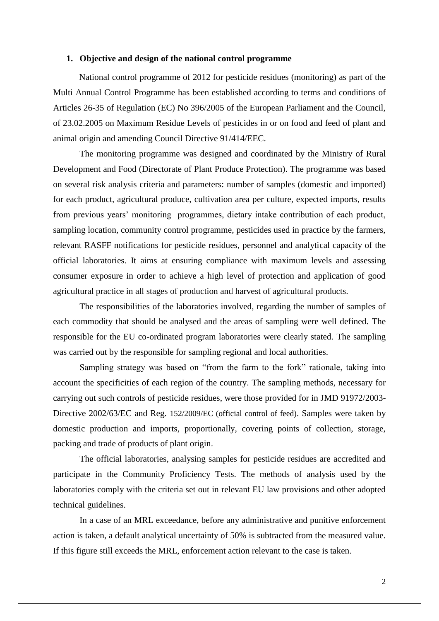#### **1. Objective and design of the national control programme**

National control programme of 2012 for pesticide residues (monitoring) as part of the Multi Annual Control Programme has been established according to terms and conditions of Articles 26-35 of Regulation (EC) No 396/2005 of the European Parliament and the Council, of 23.02.2005 on Maximum Residue Levels of pesticides in or on food and feed of plant and animal origin and amending Council Directive 91/414/EEC.

The monitoring programme was designed and coordinated by the Ministry of Rural Development and Food (Directorate of Plant Produce Protection). The programme was based on several risk analysis criteria and parameters: number of samples (domestic and imported) for each product, agricultural produce, cultivation area per culture, expected imports, results from previous years' monitoring programmes, dietary intake contribution of each product, sampling location, community control programme, pesticides used in practice by the farmers, relevant RASFF notifications for pesticide residues, personnel and analytical capacity of the official laboratories. It aims at ensuring compliance with maximum levels and assessing consumer exposure in order to achieve a high level of protection and application of good agricultural practice in all stages of production and harvest of agricultural products.

The responsibilities of the laboratories involved, regarding the number of samples of each commodity that should be analysed and the areas of sampling were well defined. The responsible for the EU co-ordinated program laboratories were clearly stated. The sampling was carried out by the responsible for sampling regional and local authorities.

Sampling strategy was based on "from the farm to the fork" rationale, taking into account the specificities of each region of the country. The sampling methods, necessary for carrying out such controls of pesticide residues, were those provided for in JMD 91972/2003- Directive 2002/63/EC and Reg. 152/2009/EC (official control of feed). Samples were taken by domestic production and imports, proportionally, covering points of collection, storage, packing and trade of products of plant origin.

The official laboratories, analysing samples for pesticide residues are accredited and participate in the Community Proficiency Tests. The methods of analysis used by the laboratories comply with the criteria set out in relevant EU law provisions and other adopted technical guidelines.

In a case of an MRL exceedance, before any administrative and punitive enforcement action is taken, a default analytical uncertainty of 50% is subtracted from the measured value. If this figure still exceeds the MRL, enforcement action relevant to the case is taken.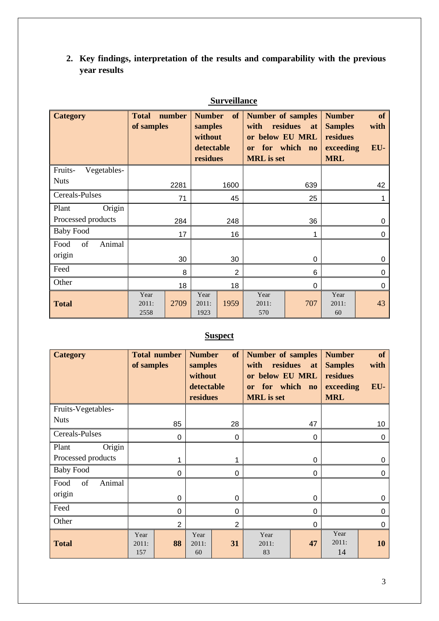**2. Key findings, interpretation of the results and comparability with the previous year results**

| <b>Category</b>        | <b>Total</b><br>of samples | number | <b>Number</b><br>samples<br>without<br>detectable<br>residues | of             | <b>Number of samples</b><br>with<br>or<br><b>or</b><br><b>MRL</b> is set | residues<br>at<br>below EU MRL<br>for which no | <b>Number</b><br><b>Samples</b><br>residues<br>exceeding<br><b>MRL</b> | of<br>with<br>EU- |
|------------------------|----------------------------|--------|---------------------------------------------------------------|----------------|--------------------------------------------------------------------------|------------------------------------------------|------------------------------------------------------------------------|-------------------|
| Fruits-<br>Vegetables- |                            |        |                                                               |                |                                                                          |                                                |                                                                        |                   |
| <b>Nuts</b>            |                            | 2281   |                                                               | 1600           |                                                                          | 639                                            |                                                                        | 42                |
| Cereals-Pulses         |                            | 71     |                                                               | 45             |                                                                          | 25                                             |                                                                        | 1                 |
| Origin<br>Plant        |                            |        |                                                               |                |                                                                          |                                                |                                                                        |                   |
| Processed products     |                            | 284    |                                                               | 248            |                                                                          | 36                                             |                                                                        | 0                 |
| <b>Baby Food</b>       |                            | 17     |                                                               | 16             |                                                                          | 1                                              |                                                                        | $\Omega$          |
| of<br>Animal<br>Food   |                            |        |                                                               |                |                                                                          |                                                |                                                                        |                   |
| origin                 |                            | 30     |                                                               | 30             |                                                                          | 0                                              |                                                                        | $\Omega$          |
| Feed                   |                            | 8      |                                                               | $\overline{2}$ |                                                                          | 6                                              |                                                                        | 0                 |
| Other                  |                            | 18     |                                                               | 18             |                                                                          | $\Omega$                                       |                                                                        | 0                 |
| <b>Total</b>           | Year<br>2011:<br>2558      | 2709   | Year<br>2011:<br>1923                                         | 1959           | Year<br>2011:<br>570                                                     | 707                                            | Year<br>2011:<br>60                                                    | 43                |

# **Surveillance**

# **Suspect**

| <b>Category</b>      | of samples           | <b>Total number</b> | <b>Number</b><br>samples<br>without<br>detectable<br>residues | of <sub>1</sub> | <b>Number of samples</b><br>with<br>residues<br>or below EU MRL<br>for which no<br>or<br><b>MRL</b> is set | at          | <b>Number</b><br><b>Samples</b><br>residues<br>exceeding<br><b>MRL</b> | of<br>with<br>EU- |
|----------------------|----------------------|---------------------|---------------------------------------------------------------|-----------------|------------------------------------------------------------------------------------------------------------|-------------|------------------------------------------------------------------------|-------------------|
| Fruits-Vegetables-   |                      |                     |                                                               |                 |                                                                                                            |             |                                                                        |                   |
| <b>Nuts</b>          |                      | 85                  |                                                               | 28              |                                                                                                            | 47          |                                                                        | 10 <sup>°</sup>   |
| Cereals-Pulses       |                      | 0                   |                                                               | 0               |                                                                                                            | 0           |                                                                        | 0                 |
| Origin<br>Plant      |                      |                     |                                                               |                 |                                                                                                            |             |                                                                        |                   |
| Processed products   |                      | 1                   |                                                               |                 |                                                                                                            | $\mathbf 0$ |                                                                        | 0                 |
| <b>Baby Food</b>     |                      | 0                   |                                                               | 0               |                                                                                                            | 0           |                                                                        | 0                 |
| Animal<br>Food<br>of |                      |                     |                                                               |                 |                                                                                                            |             |                                                                        |                   |
| origin               |                      | $\Omega$            |                                                               | 0               |                                                                                                            | 0           |                                                                        | 0                 |
| Feed                 |                      | $\mathbf 0$         |                                                               | 0               |                                                                                                            | 0           |                                                                        | 0                 |
| Other                |                      | $\overline{2}$      |                                                               | $\overline{2}$  |                                                                                                            | $\mathbf 0$ |                                                                        | 0                 |
| <b>Total</b>         | Year<br>2011:<br>157 | 88                  | Year<br>2011:<br>60                                           | 31              | Year<br>2011:<br>83                                                                                        | 47          | Year<br>2011:<br>14                                                    | 10                |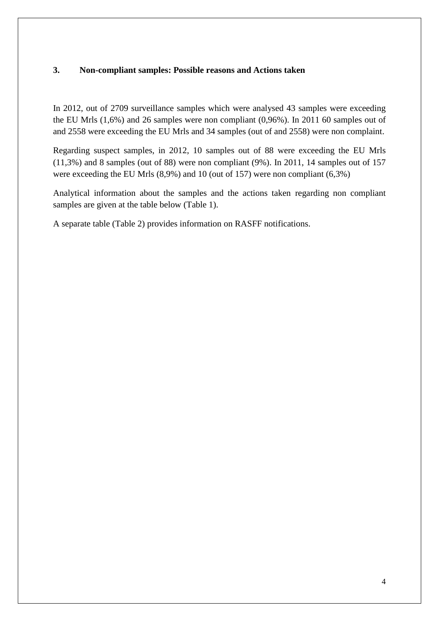### **3. Non-compliant samples: Possible reasons and Actions taken**

In 2012, out of 2709 surveillance samples which were analysed 43 samples were exceeding the EU Mrls (1,6%) and 26 samples were non compliant (0,96%). In 2011 60 samples out of and 2558 were exceeding the EU Mrls and 34 samples (out of and 2558) were non complaint.

Regarding suspect samples, in 2012, 10 samples out of 88 were exceeding the EU Mrls (11,3%) and 8 samples (out of 88) were non compliant (9%). In 2011, 14 samples out of 157 were exceeding the EU Mrls (8,9%) and 10 (out of 157) were non compliant (6,3%)

Analytical information about the samples and the actions taken regarding non compliant samples are given at the table below (Table 1).

A separate table (Table 2) provides information on RASFF notifications.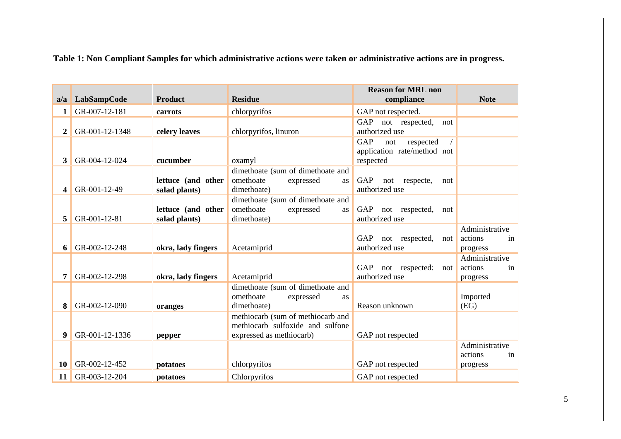**Table 1: Non Compliant Samples for which administrative actions were taken or administrative actions are in progress.**

| a/a              | LabSampCode    | <b>Product</b>     | <b>Residue</b>                      | <b>Reason for MRL non</b><br>compliance            | <b>Note</b>    |
|------------------|----------------|--------------------|-------------------------------------|----------------------------------------------------|----------------|
|                  | GR-007-12-181  |                    |                                     |                                                    |                |
| 1                |                | carrots            | chlorpyrifos                        | GAP not respected.<br>not respected,<br>GAP<br>not |                |
| $\boldsymbol{2}$ | GR-001-12-1348 | celery leaves      | chlorpyrifos, linuron               | authorized use                                     |                |
|                  |                |                    |                                     | <b>GAP</b><br>respected<br>not                     |                |
|                  |                |                    |                                     | application rate/method not                        |                |
| 3                | GR-004-12-024  | cucumber           | oxamyl                              | respected                                          |                |
|                  |                |                    | dimethoate (sum of dimethoate and   |                                                    |                |
|                  |                | lettuce (and other | omethoate<br>expressed<br>as        | GAP<br>not respecte,<br>not                        |                |
| 4                | GR-001-12-49   | salad plants)      | dimethoate)                         | authorized use                                     |                |
|                  |                |                    | dimethoate (sum of dimethoate and   |                                                    |                |
|                  |                | lettuce (and other | omethoate<br>expressed<br><b>as</b> | GAP not respected,<br>not                          |                |
| 5                | GR-001-12-81   | salad plants)      | dimethoate)                         | authorized use                                     |                |
|                  |                |                    |                                     |                                                    | Administrative |
|                  |                |                    |                                     | GAP<br>not respected,<br>not                       | actions<br>in  |
| 6                | GR-002-12-248  | okra, lady fingers | Acetamiprid                         | authorized use                                     | progress       |
|                  |                |                    |                                     |                                                    | Administrative |
|                  |                |                    |                                     | GAP not respected:<br>not                          | actions<br>in  |
| 7                | GR-002-12-298  | okra, lady fingers | Acetamiprid                         | authorized use                                     | progress       |
|                  |                |                    | dimethoate (sum of dimethoate and   |                                                    |                |
|                  |                |                    | omethoate<br>expressed<br><b>as</b> |                                                    | Imported       |
| 8                | GR-002-12-090  | oranges            | dimethoate)                         | Reason unknown                                     | (EG)           |
|                  |                |                    | methiocarb (sum of methiocarb and   |                                                    |                |
|                  | GR-001-12-1336 |                    | methiocarb sulfoxide and sulfone    |                                                    |                |
| 9                |                | pepper             | expressed as methiocarb)            | GAP not respected                                  |                |
|                  |                |                    |                                     |                                                    | Administrative |
|                  | GR-002-12-452  |                    |                                     |                                                    | actions<br>in  |
| 10               |                | potatoes           | chlorpyrifos                        | GAP not respected                                  | progress       |
| 11               | GR-003-12-204  | potatoes           | Chlorpyrifos                        | GAP not respected                                  |                |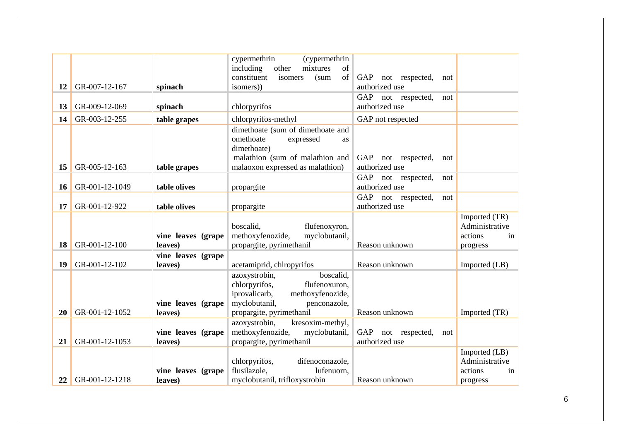|    |                |                               | cypermethrin<br>(cypermethrin<br>including<br>mixtures<br>other<br>of<br>constituent<br>isomers<br>of<br>(sum)                                                 | GAP not respected,<br>not                   |                                                              |
|----|----------------|-------------------------------|----------------------------------------------------------------------------------------------------------------------------------------------------------------|---------------------------------------------|--------------------------------------------------------------|
| 12 | GR-007-12-167  | spinach                       | isomers))                                                                                                                                                      | authorized use                              |                                                              |
| 13 | GR-009-12-069  | spinach                       | chlorpyrifos                                                                                                                                                   | GAP not respected,<br>not<br>authorized use |                                                              |
| 14 | GR-003-12-255  | table grapes                  | chlorpyrifos-methyl                                                                                                                                            | GAP not respected                           |                                                              |
| 15 | GR-005-12-163  | table grapes                  | dimethoate (sum of dimethoate and<br>omethoate<br>expressed<br>as<br>dimethoate)<br>malathion (sum of malathion and<br>malaoxon expressed as malathion)        | GAP not respected,<br>not<br>authorized use |                                                              |
| 16 | GR-001-12-1049 | table olives                  | propargite                                                                                                                                                     | GAP not respected,<br>not<br>authorized use |                                                              |
| 17 | GR-001-12-922  | table olives                  | propargite                                                                                                                                                     | GAP not respected,<br>not<br>authorized use |                                                              |
| 18 | GR-001-12-100  | vine leaves (grape<br>leaves) | boscalid,<br>flufenoxyron,<br>methoxyfenozide,<br>myclobutanil,<br>propargite, pyrimethanil                                                                    | Reason unknown                              | Imported (TR)<br>Administrative<br>actions<br>in<br>progress |
| 19 | GR-001-12-102  | vine leaves (grape<br>leaves) | acetamiprid, chlropyrifos                                                                                                                                      | Reason unknown                              | Imported (LB)                                                |
| 20 | GR-001-12-1052 | vine leaves (grape<br>leaves) | boscalid.<br>azoxystrobin,<br>chlorpyrifos,<br>flufenoxuron,<br>methoxyfenozide,<br>iprovalicarb,<br>myclobutanil,<br>penconazole,<br>propargite, pyrimethanil | Reason unknown                              | Imported (TR)                                                |
| 21 | GR-001-12-1053 | vine leaves (grape<br>leaves) | azoxystrobin,<br>kresoxim-methyl,<br>methoxyfenozide,<br>myclobutanil,<br>propargite, pyrimethanil                                                             | GAP not respected,<br>not<br>authorized use |                                                              |
| 22 | GR-001-12-1218 | vine leaves (grape<br>leaves) | chlorpyrifos,<br>difenoconazole,<br>flusilazole,<br>lufenuorn.<br>myclobutanil, trifloxystrobin                                                                | Reason unknown                              | Imported (LB)<br>Administrative<br>actions<br>in<br>progress |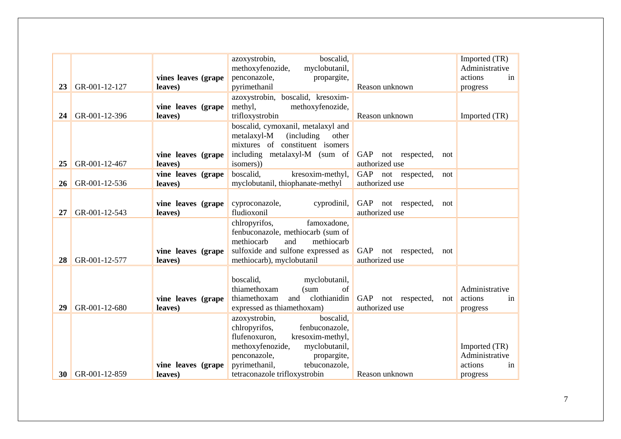|    |                 |                               | azoxystrobin,<br>boscalid.<br>methoxyfenozide,<br>myclobutanil,                                                                                                                                          |                                                | Imported (TR)<br>Administrative                  |
|----|-----------------|-------------------------------|----------------------------------------------------------------------------------------------------------------------------------------------------------------------------------------------------------|------------------------------------------------|--------------------------------------------------|
|    |                 | vines leaves (grape           | penconazole,<br>propargite,                                                                                                                                                                              |                                                | actions<br>in                                    |
| 23 | GR-001-12-127   | leaves)                       | pyrimethanil                                                                                                                                                                                             | Reason unknown                                 | progress                                         |
|    |                 | vine leaves (grape            | azoxystrobin, boscalid, kresoxim-<br>methyl,<br>methoxyfenozide,                                                                                                                                         |                                                |                                                  |
| 24 | GR-001-12-396   | leaves)                       | trifloxystrobin                                                                                                                                                                                          | Reason unknown                                 | Imported (TR)                                    |
| 25 | GR-001-12-467   | vine leaves (grape<br>leaves) | boscalid, cymoxanil, metalaxyl and<br>metalaxyl-M<br>(including)<br>other<br>mixtures of constituent isomers<br>including metalaxyl-M (sum of<br>isomers))                                               | GAP<br>not respected,<br>not<br>authorized use |                                                  |
| 26 | GR-001-12-536   | vine leaves (grape<br>leaves) | boscalid.<br>kresoxim-methyl,<br>myclobutanil, thiophanate-methyl                                                                                                                                        | GAP not respected,<br>not<br>authorized use    |                                                  |
| 27 | GR-001-12-543   | vine leaves (grape<br>leaves) | cyproconazole,<br>cyprodinil,<br>fludioxonil                                                                                                                                                             | GAP not respected,<br>not<br>authorized use    |                                                  |
| 28 | GR-001-12-577   | vine leaves (grape<br>leaves) | famoxadone,<br>chlropyrifos,<br>fenbuconazole, methiocarb (sum of<br>methiocarb<br>and<br>methiocarb<br>sulfoxide and sulfone expressed as<br>methiocarb), myclobutanil                                  | GAP<br>not respected,<br>not<br>authorized use |                                                  |
| 29 | GR-001-12-680   | vine leaves (grape<br>leaves) | boscalid.<br>myclobutanil,<br>thiamethoxam<br>(sum)<br>of<br>thiamethoxam<br>and<br>clothianidin<br>expressed as thiamethoxam)                                                                           | GAP<br>not respected,<br>not<br>authorized use | Administrative<br>actions<br>in<br>progress      |
|    |                 | vine leaves (grape            | azoxystrobin,<br>boscalid.<br>chlropyrifos,<br>fenbuconazole,<br>flufenoxuron,<br>kresoxim-methyl,<br>methoxyfenozide,<br>myclobutanil,<br>penconazole,<br>propargite,<br>pyrimethanil,<br>tebuconazole, |                                                | Imported (TR)<br>Administrative<br>actions<br>in |
| 30 | $GR-001-12-859$ | leaves)                       | tetraconazole trifloxystrobin                                                                                                                                                                            | Reason unknown                                 | progress                                         |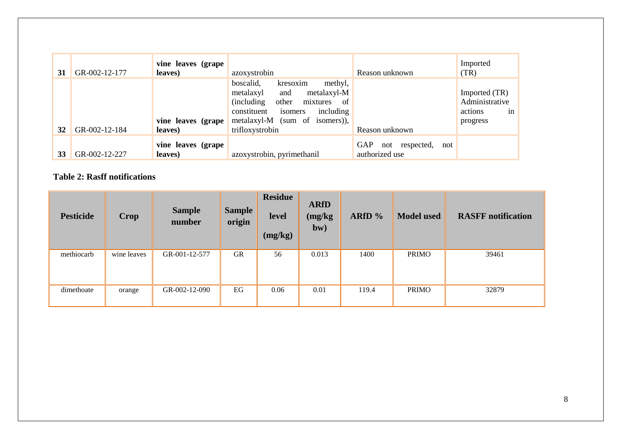| 31 | GR-002-12-177 | vine leaves (grape<br>leaves) | azoxystrobin                                                                                                                                                                           | Reason unknown                                    | Imported<br>(TR)                                             |
|----|---------------|-------------------------------|----------------------------------------------------------------------------------------------------------------------------------------------------------------------------------------|---------------------------------------------------|--------------------------------------------------------------|
|    |               | vine leaves (grape            | boscalid,<br>methyl,<br>kresoxim<br>metalaxyl-M<br>metalaxyl<br>and<br>mixtures<br>other<br>(including)<br>of<br>isomers<br>including<br>constituent<br>metalaxyl-M (sum of isomers)), |                                                   | Imported (TR)<br>Administrative<br>actions<br>in<br>progress |
| 32 | GR-002-12-184 | leaves)                       | trifloxystrobin                                                                                                                                                                        | Reason unknown                                    |                                                              |
| 33 | GR-002-12-227 | vine leaves (grape<br>leaves) | azoxystrobin, pyrimethanil                                                                                                                                                             | GAP<br>respected,<br>not<br>not<br>authorized use |                                                              |

## **Table 2: Rasff notifications**

| <b>Pesticide</b> | <b>Crop</b> | <b>Sample</b><br>number | <b>Sample</b><br>origin | <b>Residue</b><br>level<br>(mg/kg) | <b>ARfD</b><br>(mg/kg)<br>bw) | ARfD $%$ | <b>Model used</b> | <b>RASFF</b> notification |
|------------------|-------------|-------------------------|-------------------------|------------------------------------|-------------------------------|----------|-------------------|---------------------------|
| methiocarb       | wine leaves | GR-001-12-577           | <b>GR</b>               | 56                                 | 0.013                         | 1400     | <b>PRIMO</b>      | 39461                     |
| dimethoate       | orange      | GR-002-12-090           | EG                      | 0.06                               | 0.01                          | 119.4    | PRIMO             | 32879                     |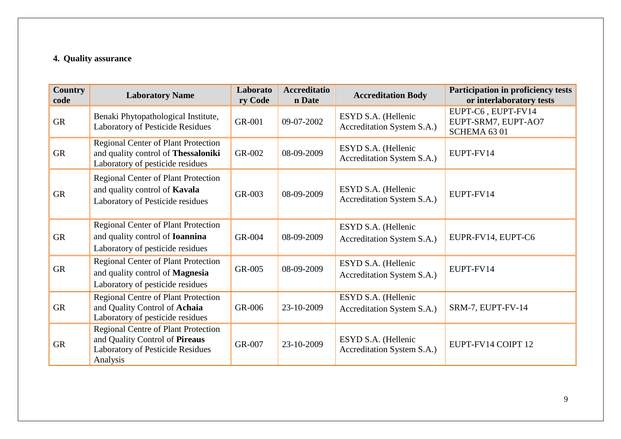## **4. Quality assurance**

| <b>Country</b><br>code | <b>Laboratory Name</b>                                                                                                              | Laborato<br>ry Code | <b>Accreditatio</b><br>n Date | <b>Accreditation Body</b>                         | Participation in proficiency tests<br>or interlaboratory tests |
|------------------------|-------------------------------------------------------------------------------------------------------------------------------------|---------------------|-------------------------------|---------------------------------------------------|----------------------------------------------------------------|
| <b>GR</b>              | Benaki Phytopathological Institute,<br>Laboratory of Pesticide Residues                                                             | GR-001              | 09-07-2002                    | ESYD S.A. (Hellenic<br>Accreditation System S.A.) | EUPT-C6, EUPT-FV14<br>EUPT-SRM7, EUPT-AO7<br>SCHEMA 6301       |
| <b>GR</b>              | <b>Regional Center of Plant Protection</b><br>and quality control of Thessaloniki<br>Laboratory of pesticide residues               | GR-002              | 08-09-2009                    | ESYD S.A. (Hellenic<br>Accreditation System S.A.) | EUPT-FV14                                                      |
| <b>GR</b>              | <b>Regional Center of Plant Protection</b><br>and quality control of <b>Kavala</b><br>Laboratory of Pesticide residues              | GR-003              | 08-09-2009                    | ESYD S.A. (Hellenic<br>Accreditation System S.A.) | EUPT-FV14                                                      |
| <b>GR</b>              | <b>Regional Center of Plant Protection</b><br>and quality control of <b>Ioannina</b><br>Laboratory of pesticide residues            | GR-004              | 08-09-2009                    | ESYD S.A. (Hellenic<br>Accreditation System S.A.) | EUPR-FV14, EUPT-C6                                             |
| <b>GR</b>              | <b>Regional Center of Plant Protection</b><br>and quality control of Magnesia<br>Laboratory of pesticide residues                   | GR-005              | 08-09-2009                    | ESYD S.A. (Hellenic<br>Accreditation System S.A.) | EUPT-FV14                                                      |
| <b>GR</b>              | <b>Regional Centre of Plant Protection</b><br>and Quality Control of Achaia<br>Laboratory of pesticide residues                     | GR-006              | 23-10-2009                    | ESYD S.A. (Hellenic<br>Accreditation System S.A.) | SRM-7, EUPT-FV-14                                              |
| <b>GR</b>              | <b>Regional Centre of Plant Protection</b><br>and Quality Control of Pireaus<br><b>Laboratory of Pesticide Residues</b><br>Analysis | GR-007              | 23-10-2009                    | ESYD S.A. (Hellenic<br>Accreditation System S.A.) | EUPT-FV14 COIPT 12                                             |